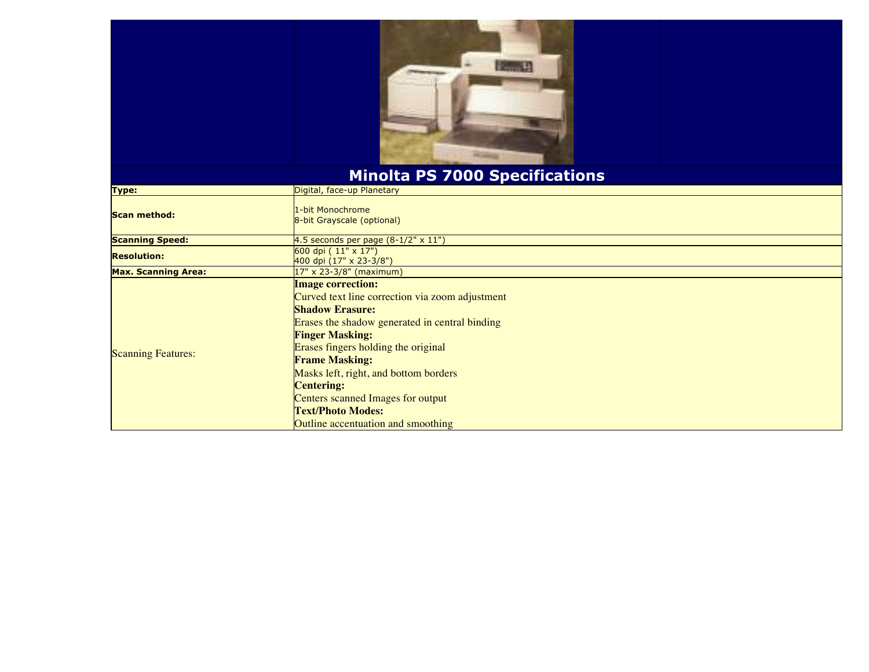

## **Minolta PS 7000 Specifications**

| Type:                      | Digital, face-up Planetary                                                                                                                                                                                                                                                                                                                                                                                             |
|----------------------------|------------------------------------------------------------------------------------------------------------------------------------------------------------------------------------------------------------------------------------------------------------------------------------------------------------------------------------------------------------------------------------------------------------------------|
| <b>Scan method:</b>        | 1-bit Monochrome<br>8-bit Grayscale (optional)                                                                                                                                                                                                                                                                                                                                                                         |
| <b>Scanning Speed:</b>     | 4.5 seconds per page $(8-1/2" \times 11")$                                                                                                                                                                                                                                                                                                                                                                             |
| <b>Resolution:</b>         | 600 dpi $(11" \times 17")$<br>400 dpi $(17" \times 23-3/8")$                                                                                                                                                                                                                                                                                                                                                           |
| <b>Max. Scanning Area:</b> | $17"$ x 23-3/8" (maximum)                                                                                                                                                                                                                                                                                                                                                                                              |
| <b>Scanning Features:</b>  | <b>Image correction:</b><br>Curved text line correction via zoom adjustment<br><b>Shadow Erasure:</b><br>Erases the shadow generated in central binding<br><b>Finger Masking:</b><br>Erases fingers holding the original<br><b>Frame Masking:</b><br>Masks left, right, and bottom borders<br><b>Centering:</b><br>Centers scanned Images for output<br><b>Text/Photo Modes:</b><br>Outline accentuation and smoothing |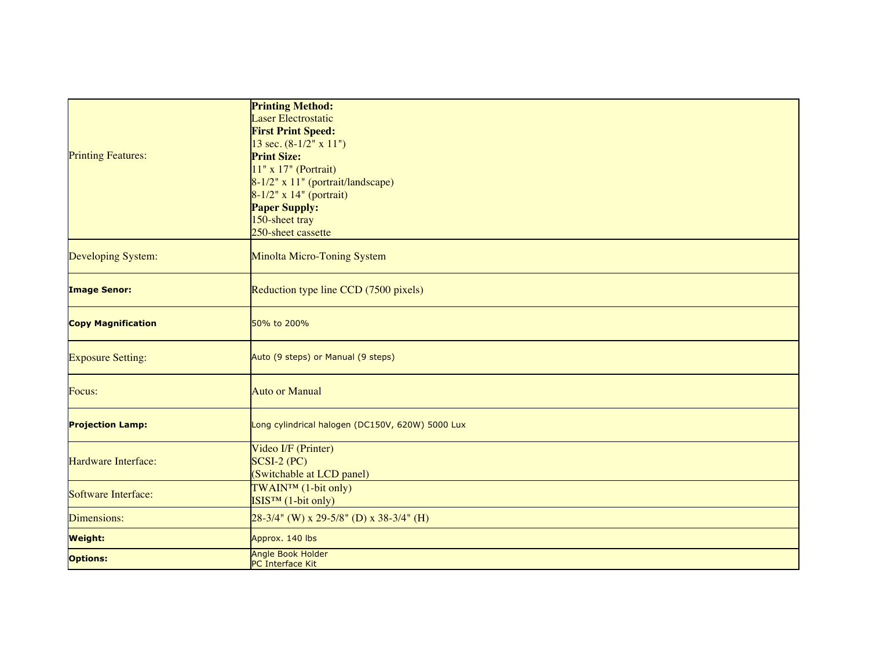|                           | <b>Printing Method:</b>                          |
|---------------------------|--------------------------------------------------|
|                           | <b>Laser Electrostatic</b>                       |
|                           | <b>First Print Speed:</b>                        |
| <b>Printing Features:</b> | 13 sec. (8-1/2" x 11")                           |
|                           | <b>Print Size:</b>                               |
|                           | 11" x 17" (Portrait)                             |
|                           | 8-1/2" x 11" (portrait/landscape)                |
|                           | $8-1/2$ " x 14" (portrait)                       |
|                           | <b>Paper Supply:</b>                             |
|                           | 150-sheet tray                                   |
|                           | 250-sheet cassette                               |
|                           |                                                  |
| <b>Developing System:</b> | Minolta Micro-Toning System                      |
| <b>Image Senor:</b>       | Reduction type line CCD (7500 pixels)            |
|                           |                                                  |
| <b>Copy Magnification</b> | 50% to 200%                                      |
| <b>Exposure Setting:</b>  | Auto (9 steps) or Manual (9 steps)               |
| Focus:                    | <b>Auto or Manual</b>                            |
| <b>Projection Lamp:</b>   | Long cylindrical halogen (DC150V, 620W) 5000 Lux |
| Hardware Interface:       | Video I/F (Printer)                              |
|                           | $SCSI-2 (PC)$                                    |
|                           | (Switchable at LCD panel)                        |
| Software Interface:       | TWAIN™ (1-bit only)                              |
|                           | $ISISTM$ (1-bit only)                            |
| Dimensions:               | $28-3/4$ " (W) x 29-5/8" (D) x 38-3/4" (H)       |
| <b>Weight:</b>            | Approx. 140 lbs                                  |
| <b>Options:</b>           | <b>Angle Book Holder</b>                         |
|                           | PC Interface Kit                                 |